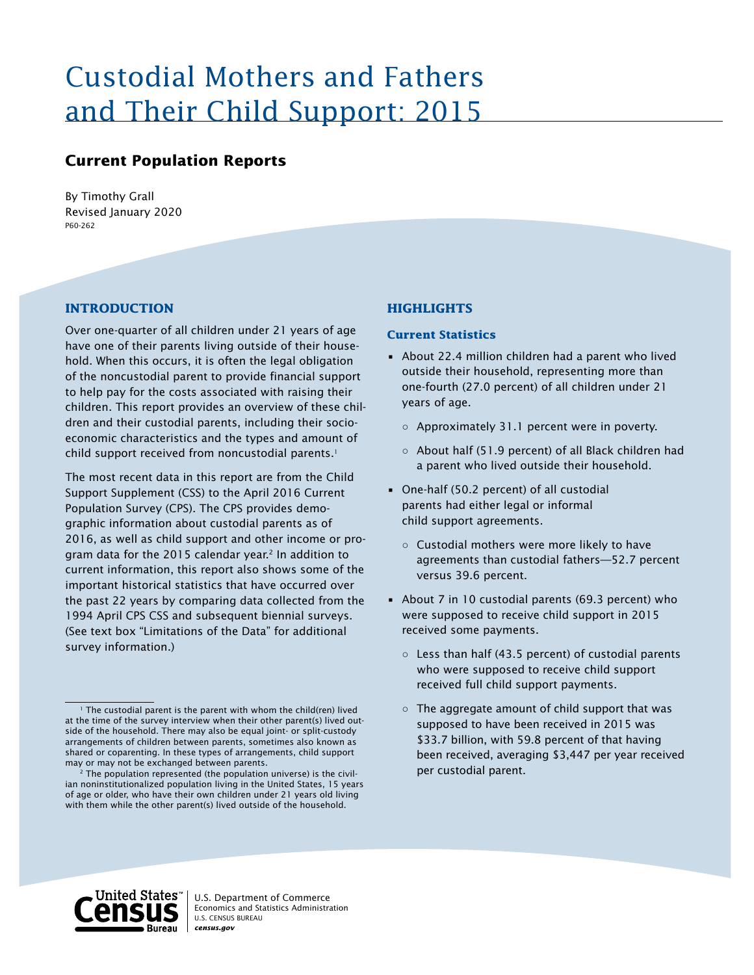# Custodial Mothers and Fathers and Their Child Support: 2015

# **Current Population Reports**

Revised January 2020 P60-262 By Timothy Grall

# **INTRODUCTION**

Over one-quarter of all children under 21 years of age have one of their parents living outside of their household. When this occurs, it is often the legal obligation of the noncustodial parent to provide financial support to help pay for the costs associated with raising their children. This report provides an overview of these children and their custodial parents, including their socioeconomic characteristics and the types and amount of child support received from noncustodial parents. $^1$ 

The most recent data in this report are from the Child Support Supplement (CSS) to the April 2016 Current Population Survey (CPS). The CPS provides demographic information about custodial parents as of 2016, as well as child support and other income or program data for the 2015 calendar year.<sup>2</sup> In addition to current information, this report also shows some of the important historical statistics that have occurred over the past 22 years by comparing data collected from the 1994 April CPS CSS and subsequent biennial surveys. (See text box "Limitations of the Data" for additional survey information.)

# **HIGHLIGHTS**

#### **Current Statistics**

- About 22.4 million children had a parent who lived outside their household, representing more than one-fourth (27.0 percent) of all children under 21 years of age.
	- Approximately 31.1 percent were in poverty.
	- About half (51.9 percent) of all Black children had a parent who lived outside their household.
- One-half (50.2 percent) of all custodial parents had either legal or informal child support agreements.
	- Custodial mothers were more likely to have agreements than custodial fathers—52.7 percent versus 39.6 percent.
- About 7 in 10 custodial parents (69.3 percent) who were supposed to receive child support in 2015 received some payments.
	- Less than half (43.5 percent) of custodial parents who were supposed to receive child support received full child support payments.
	- $\circ$  The aggregate amount of child support that was supposed to have been received in 2015 was \$33.7 billion, with 59.8 percent of that having been received, averaging \$3,447 per year received per custodial parent.



<sup>&</sup>lt;sup>1</sup> The custodial parent is the parent with whom the child(ren) lived at the time of the survey interview when their other parent(s) lived outside of the household. There may also be equal joint- or split-custody arrangements of children between parents, sometimes also known as shared or coparenting. In these types of arrangements, child support may or may not be exchanged between parents.

 $2$  The population represented (the population universe) is the civilian noninstitutionalized population living in the United States, 15 years of age or older, who have their own children under 21 years old living with them while the other parent(s) lived outside of the household.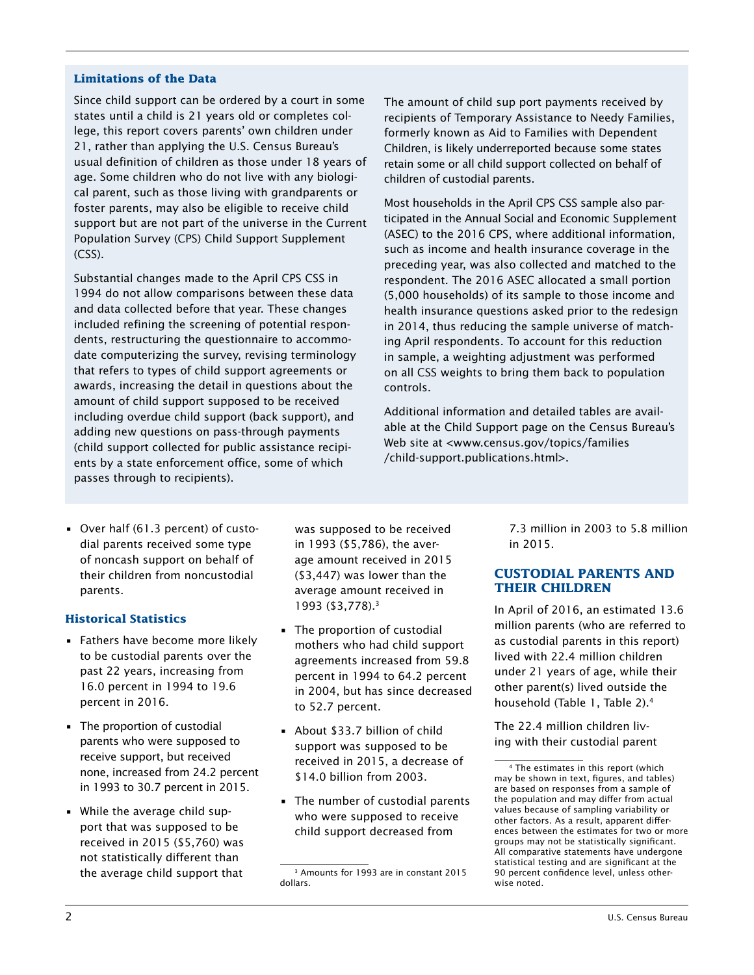#### **Limitations of the Data**

Since child support can be ordered by a court in some states until a child is 21 years old or completes college, this report covers parents' own children under 21, rather than applying the U.S. Census Bureau's usual definition of children as those under 18 years of age. Some children who do not live with any biological parent, such as those living with grandparents or foster parents, may also be eligible to receive child support but are not part of the universe in the Current Population Survey (CPS) Child Support Supplement (CSS).

Substantial changes made to the April CPS CSS in 1994 do not allow comparisons between these data and data collected before that year. These changes included refining the screening of potential respondents, restructuring the questionnaire to accommodate computerizing the survey, revising terminology that refers to types of child support agreements or awards, increasing the detail in questions about the amount of child support supposed to be received including overdue child support (back support), and adding new questions on pass-through payments (child support collected for public assistance recipients by a state enforcement office, some of which passes through to recipients).

The amount of child sup port payments received by recipients of Temporary Assistance to Needy Families, formerly known as Aid to Families with Dependent Children, is likely underreported because some states retain some or all child support collected on behalf of children of custodial parents.

Most households in the April CPS CSS sample also participated in the Annual Social and Economic Supplement (ASEC) to the 2016 CPS, where additional information, such as income and health insurance coverage in the preceding year, was also collected and matched to the respondent. The 2016 ASEC allocated a small portion (5,000 households) of its sample to those income and health insurance questions asked prior to the redesign in 2014, thus reducing the sample universe of matching April respondents. To account for this reduction in sample, a weighting adjustment was performed on all CSS weights to bring them back to population controls.

Additional information and detailed tables are available at the Child Support page on the Census Bureau's Web site at <www.census.gov/topics/families /child-support.publications.html>.

• Over half (61.3 percent) of custodial parents received some type of noncash support on behalf of their children from noncustodial parents.

# **Historical Statistics**

- Fathers have become more likely to be custodial parents over the past 22 years, increasing from 16.0 percent in 1994 to 19.6 percent in 2016.
- The proportion of custodial parents who were supposed to receive support, but received none, increased from 24.2 percent in 1993 to 30.7 percent in 2015.
- While the average child support that was supposed to be received in 2015 (\$5,760) was not statistically different than the average child support that

was supposed to be received in 1993 (\$5,786), the average amount received in 2015 (\$3,447) was lower than the average amount received in 1993 (\$3,778).3

- The proportion of custodial mothers who had child support agreements increased from 59.8 percent in 1994 to 64.2 percent in 2004, but has since decreased to 52.7 percent.
- About \$33.7 billion of child support was supposed to be received in 2015, a decrease of \$14.0 billion from 2003.
- The number of custodial parents who were supposed to receive child support decreased from

7.3 million in 2003 to 5.8 million in 2015.

# **CUSTODIAL PARENTS AND THEIR CHILDREN**

In April of 2016, an estimated 13.6 million parents (who are referred to as custodial parents in this report) lived with 22.4 million children under 21 years of age, while their other parent(s) lived outside the household (Table 1, Table 2).4

The 22.4 million children living with their custodial parent

<sup>3</sup> Amounts for 1993 are in constant 2015 dollars.

<sup>4</sup> The estimates in this report (which may be shown in text, figures, and tables) are based on responses from a sample of the population and may differ from actual values because of sampling variability or other factors. As a result, apparent differences between the estimates for two or more groups may not be statistically significant. All comparative statements have undergone statistical testing and are significant at the 90 percent confidence level, unless otherwise noted.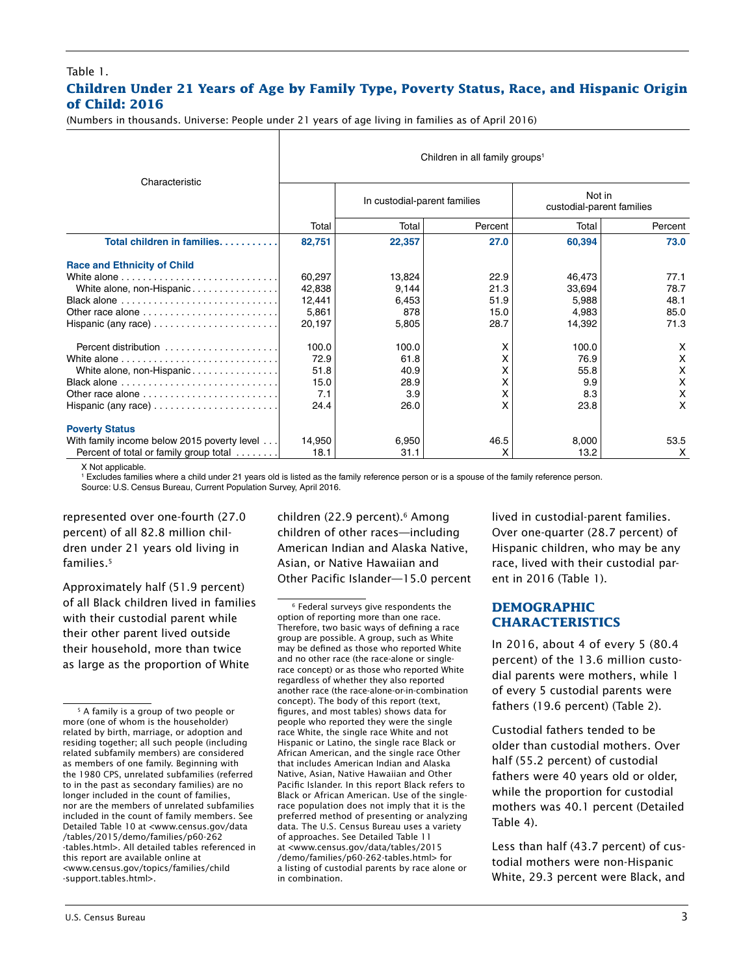#### Table 1. **Children Under 21 Years of Age by Family Type, Poverty Status, Race, and Hispanic Origin of Child: 2016**

(Numbers in thousands. Universe: People under 21 years of age living in families as of April 2016)

|                                                                       | Children in all family groups <sup>1</sup> |                              |         |                                     |         |  |  |  |  |  |
|-----------------------------------------------------------------------|--------------------------------------------|------------------------------|---------|-------------------------------------|---------|--|--|--|--|--|
| Characteristic                                                        |                                            | In custodial-parent families |         | Not in<br>custodial-parent families |         |  |  |  |  |  |
|                                                                       | Total                                      | Total                        | Percent | Total                               | Percent |  |  |  |  |  |
| Total children in families.                                           | 82,751                                     | 22,357                       | 27.0    | 60,394                              | 73.0    |  |  |  |  |  |
| <b>Race and Ethnicity of Child</b>                                    |                                            |                              |         |                                     |         |  |  |  |  |  |
|                                                                       | 60,297                                     | 13,824                       | 22.9    | 46.473                              | 77.1    |  |  |  |  |  |
| White alone, non-Hispanic                                             | 42,838                                     | 9,144                        | 21.3    | 33,694                              | 78.7    |  |  |  |  |  |
|                                                                       | 12,441                                     | 6,453                        | 51.9    | 5,988                               | 48.1    |  |  |  |  |  |
| Other race alone $\ldots \ldots \ldots \ldots \ldots \ldots \ldots$   | 5,861                                      | 878                          | 15.0    | 4,983                               | 85.0    |  |  |  |  |  |
| Hispanic (any race) $\dots\dots\dots\dots\dots\dots\dots\dots$        | 20,197                                     | 5,805                        | 28.7    | 14,392                              | 71.3    |  |  |  |  |  |
|                                                                       | 100.0                                      | 100.0                        | x       | 100.0                               | X       |  |  |  |  |  |
|                                                                       | 72.9                                       | 61.8                         | x       | 76.9                                | x       |  |  |  |  |  |
| White alone, non-Hispanic                                             | 51.8                                       | 40.9                         | X       | 55.8                                | x       |  |  |  |  |  |
| Black alone $\ldots \ldots \ldots \ldots \ldots \ldots \ldots \ldots$ | 15.0                                       | 28.9                         | x       | 9.9                                 | X       |  |  |  |  |  |
| Other race alone $\ldots \ldots \ldots \ldots \ldots \ldots \ldots$   | 7.1                                        | 3.9                          | X       | 8.3                                 | X       |  |  |  |  |  |
| Hispanic (any race) $\dots\dots\dots\dots\dots\dots\dots\dots$        | 24.4                                       | 26.0                         | x       | 23.8                                | X       |  |  |  |  |  |
| <b>Poverty Status</b>                                                 |                                            |                              |         |                                     |         |  |  |  |  |  |
| With family income below 2015 poverty level                           | 14,950                                     | 6,950                        | 46.5    | 8,000                               | 53.5    |  |  |  |  |  |
| Percent of total or family group total                                | 18.1                                       | 31.1                         | x       | 13.2                                | X       |  |  |  |  |  |

X Not applicable.

1 Excludes families where a child under 21 years old is listed as the family reference person or is a spouse of the family reference person. Source: U.S. Census Bureau, Current Population Survey, April 2016.

represented over one-fourth (27.0 percent) of all 82.8 million children under 21 years old living in families.<sup>5</sup>

Approximately half (51.9 percent) of all Black children lived in families with their custodial parent while their other parent lived outside their household, more than twice as large as the proportion of White

children (22.9 percent).<sup>6</sup> Among children of other races—including American Indian and Alaska Native, Asian, or Native Hawaiian and Other Pacific Islander—15.0 percent

6 Federal surveys give respondents the option of reporting more than one race. Therefore, two basic ways of defining a race group are possible. A group, such as White may be defined as those who reported White and no other race (the race-alone or singlerace concept) or as those who reported White regardless of whether they also reported another race (the race-alone-or-in-combination concept). The body of this report (text, figures, and most tables) shows data for people who reported they were the single race White, the single race White and not Hispanic or Latino, the single race Black or African American, and the single race Other that includes American Indian and Alaska Native, Asian, Native Hawaiian and Other Pacific Islander. In this report Black refers to Black or African American. Use of the singlerace population does not imply that it is the preferred method of presenting or analyzing data. The U.S. Census Bureau uses a variety of approaches. See Detailed Table 11 at <www.census.gov/data/tables/2015 /demo/families/p60-262-tables.html> for a listing of custodial parents by race alone or in combination.

lived in custodial-parent families. Over one-quarter (28.7 percent) of Hispanic children, who may be any race, lived with their custodial parent in 2016 (Table 1).

#### **DEMOGRAPHIC CHARACTERISTICS**

In 2016, about 4 of every 5 (80.4 percent) of the 13.6 million custodial parents were mothers, while 1 of every 5 custodial parents were fathers (19.6 percent) (Table 2).

Custodial fathers tended to be older than custodial mothers. Over half (55.2 percent) of custodial fathers were 40 years old or older, while the proportion for custodial mothers was 40.1 percent (Detailed Table 4).

Less than half (43.7 percent) of custodial mothers were non-Hispanic White, 29.3 percent were Black, and

<sup>&</sup>lt;sup>5</sup> A family is a group of two people or more (one of whom is the householder) related by birth, marriage, or adoption and residing together; all such people (including related subfamily members) are considered as members of one family. Beginning with the 1980 CPS, unrelated subfamilies (referred to in the past as secondary families) are no longer included in the count of families, nor are the members of unrelated subfamilies included in the count of family members. See Detailed Table 10 at <www.census.gov/data /tables/2015/demo/families/p60-262 -tables.html>. All detailed tables referenced in this report are available online at <www.census.gov/topics/families/child -support.tables.html>.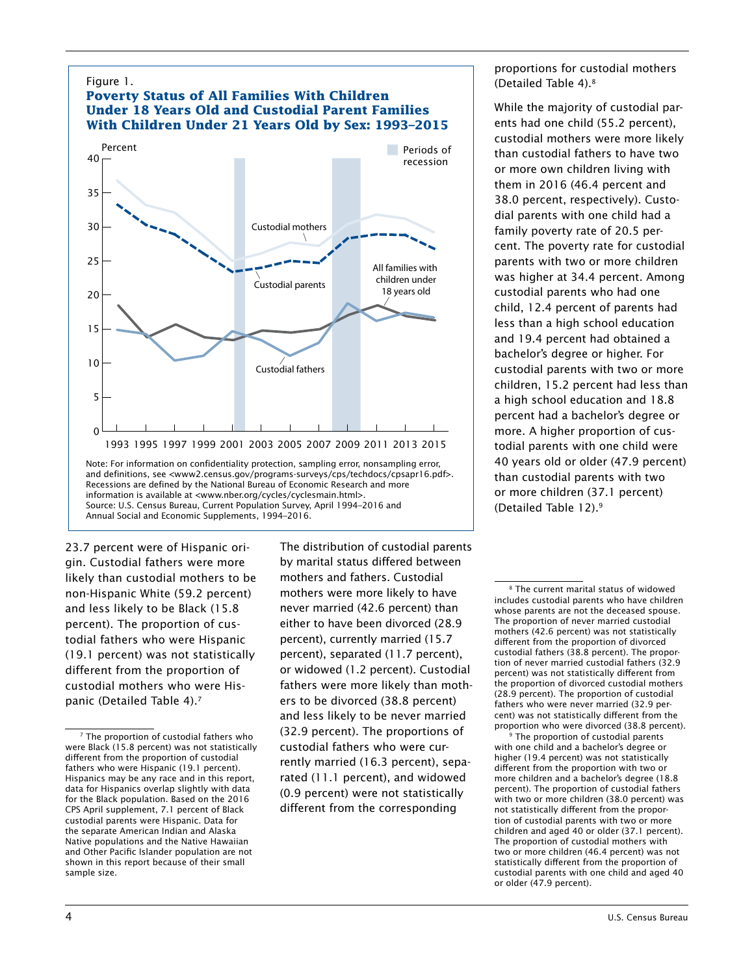

23.7 percent were of Hispanic origin. Custodial fathers were more likely than custodial mothers to be non-Hispanic White (59.2 percent) and less likely to be Black (15.8 percent). The proportion of custodial fathers who were Hispanic (19.1 percent) was not statistically different from the proportion of custodial mothers who were Hispanic (Detailed Table 4).7

The distribution of custodial parents by marital status differed between mothers and fathers. Custodial mothers were more likely to have never married (42.6 percent) than either to have been divorced (28.9 percent), currently married (15.7 percent), separated (11.7 percent), or widowed (1.2 percent). Custodial fathers were more likely than mothers to be divorced (38.8 percent) and less likely to be never married (32.9 percent). The proportions of custodial fathers who were currently married (16.3 percent), separated (11.1 percent), and widowed (0.9 percent) were not statistically different from the corresponding

proportions for custodial mothers (Detailed Table 4).8

While the majority of custodial parents had one child (55.2 percent), custodial mothers were more likely than custodial fathers to have two or more own children living with them in 2016 (46.4 percent and 38.0 percent, respectively). Custodial parents with one child had a family poverty rate of 20.5 percent. The poverty rate for custodial parents with two or more children was higher at 34.4 percent. Among custodial parents who had one child, 12.4 percent of parents had less than a high school education and 19.4 percent had obtained a bachelor's degree or higher. For custodial parents with two or more children, 15.2 percent had less than a high school education and 18.8 percent had a bachelor's degree or more. A higher proportion of custodial parents with one child were 40 years old or older (47.9 percent) than custodial parents with two or more children (37.1 percent) (Detailed Table 12).9

<sup>9</sup> The proportion of custodial parents with one child and a bachelor's degree or higher (19.4 percent) was not statistically different from the proportion with two or more children and a bachelor's degree (18.8 percent). The proportion of custodial fathers with two or more children (38.0 percent) was not statistically different from the proportion of custodial parents with two or more children and aged 40 or older (37.1 percent). The proportion of custodial mothers with two or more children (46.4 percent) was not statistically different from the proportion of custodial parents with one child and aged 40 or older (47.9 percent).

<sup>7</sup> The proportion of custodial fathers who were Black (15.8 percent) was not statistically different from the proportion of custodial fathers who were Hispanic (19.1 percent). Hispanics may be any race and in this report, data for Hispanics overlap slightly with data for the Black population. Based on the 2016 CPS April supplement, 7.1 percent of Black custodial parents were Hispanic. Data for the separate American Indian and Alaska Native populations and the Native Hawaiian and Other Pacific Islander population are not shown in this report because of their small sample size.

<sup>8</sup> The current marital status of widowed includes custodial parents who have children whose parents are not the deceased spouse. The proportion of never married custodial mothers (42.6 percent) was not statistically different from the proportion of divorced custodial fathers (38.8 percent). The proportion of never married custodial fathers (32.9 percent) was not statistically different from the proportion of divorced custodial mothers (28.9 percent). The proportion of custodial fathers who were never married (32.9 percent) was not statistically different from the proportion who were divorced (38.8 percent).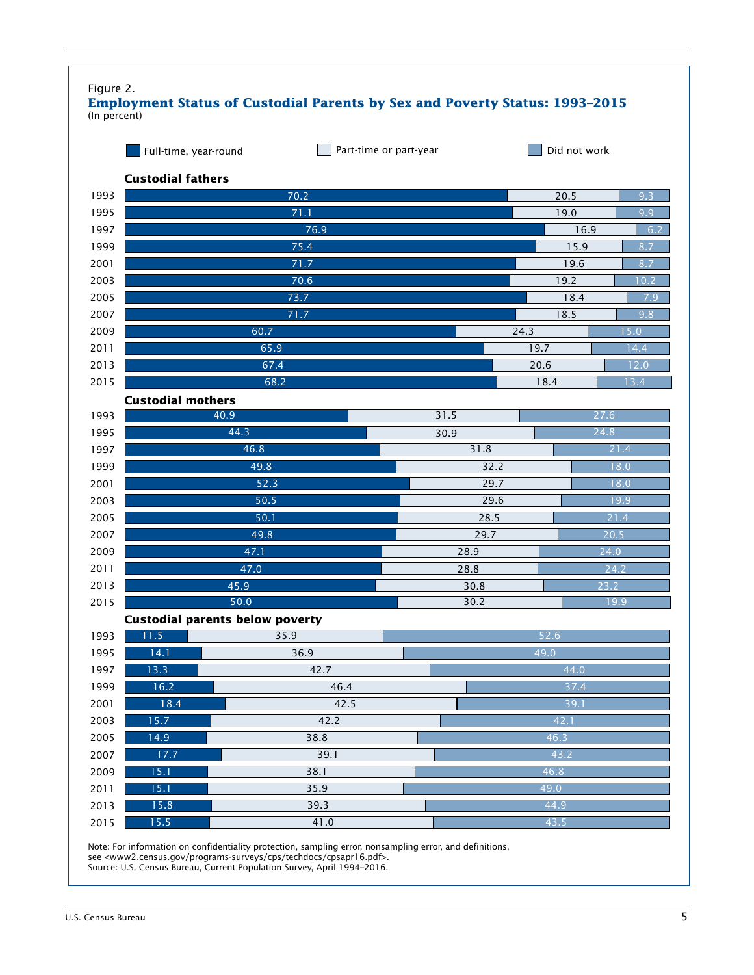| Figure 2.<br><b>Employment Status of Custodial Parents by Sex and Poverty Status: 1993-2015</b><br>(In percent) |                                        |      |      |              |      |      |      |  |  |  |  |  |
|-----------------------------------------------------------------------------------------------------------------|----------------------------------------|------|------|--------------|------|------|------|--|--|--|--|--|
|                                                                                                                 | Full-time, year-round                  |      |      | Did not work |      |      |      |  |  |  |  |  |
|                                                                                                                 | <b>Custodial fathers</b><br>70.2       |      |      |              |      |      |      |  |  |  |  |  |
| 1993                                                                                                            |                                        | 20.5 | 9.3  |              |      |      |      |  |  |  |  |  |
| 1995                                                                                                            |                                        | 71.1 |      |              |      |      |      |  |  |  |  |  |
| 1997                                                                                                            |                                        | 76.9 |      |              |      |      |      |  |  |  |  |  |
| 1999                                                                                                            |                                        | 75.4 |      |              | 15.9 | 8.7  |      |  |  |  |  |  |
| 2001                                                                                                            |                                        | 71.7 |      |              | 19.6 | 8.7  |      |  |  |  |  |  |
| 2003                                                                                                            |                                        | 70.6 |      |              | 19.2 |      | 10.2 |  |  |  |  |  |
| 2005                                                                                                            |                                        | 73.7 |      |              |      | 18.4 | 7.9  |  |  |  |  |  |
| 2007                                                                                                            |                                        | 71.7 |      |              | 18.5 |      | 9.8  |  |  |  |  |  |
| 2009                                                                                                            | 60.7                                   |      |      |              | 24.3 |      | 5.0  |  |  |  |  |  |
| 2011                                                                                                            | 65.9                                   |      |      |              | 19.7 |      | 4.4  |  |  |  |  |  |
| 2013                                                                                                            | 67.4                                   |      |      |              | 20.6 |      | 12.0 |  |  |  |  |  |
| 2015                                                                                                            | 68.2                                   |      |      |              | 18.4 |      | 13.4 |  |  |  |  |  |
|                                                                                                                 | <b>Custodial mothers</b>               |      |      |              |      |      |      |  |  |  |  |  |
| 1993                                                                                                            | 40.9                                   |      | 31.5 |              |      | 27.6 |      |  |  |  |  |  |
| 1995                                                                                                            | 44.3                                   |      | 30.9 |              |      | 24.8 |      |  |  |  |  |  |
| 1997                                                                                                            | 46.8                                   |      |      | 31.8         |      | 21.4 |      |  |  |  |  |  |
| 1999                                                                                                            | 49.8                                   |      |      | 32.2         |      | 18.0 |      |  |  |  |  |  |
| 2001                                                                                                            | 52.3                                   |      |      | 29.7         |      |      | 18.0 |  |  |  |  |  |
| 2003                                                                                                            | 50.5                                   |      |      | 29.6         |      | 19.9 |      |  |  |  |  |  |
| 2005                                                                                                            | 50.1                                   |      |      |              |      | 21.4 |      |  |  |  |  |  |
| 2007                                                                                                            | 49.8                                   |      |      | 29.7         |      | 20.5 |      |  |  |  |  |  |
| 2009                                                                                                            | 47.1                                   |      |      | 28.9         |      | 24.0 |      |  |  |  |  |  |
| 2011                                                                                                            | 47.0                                   |      |      | 28.8         |      | 24.2 |      |  |  |  |  |  |
| 2013                                                                                                            | 45.9                                   |      |      | 30.8         |      | 23.2 |      |  |  |  |  |  |
| 2015                                                                                                            | 50.0                                   |      |      | 30.2         |      | 19.9 |      |  |  |  |  |  |
|                                                                                                                 | <b>Custodial parents below poverty</b> |      |      |              |      |      |      |  |  |  |  |  |
| 1993                                                                                                            | 11.5                                   | 35.9 |      |              | 52.6 |      |      |  |  |  |  |  |
| 1995                                                                                                            | 14.1                                   | 36.9 |      |              | 49.0 |      |      |  |  |  |  |  |
| 1997                                                                                                            | 13.3                                   | 42.7 |      |              |      | 44.0 |      |  |  |  |  |  |
| 1999                                                                                                            | 16.2                                   | 46.4 |      |              | 37.4 |      |      |  |  |  |  |  |
| 2001                                                                                                            | 18.4                                   | 42.5 |      |              | 39.1 |      |      |  |  |  |  |  |
| 2003                                                                                                            | 15.7                                   | 42.2 |      |              | 42.1 |      |      |  |  |  |  |  |
| 2005                                                                                                            | 14.9                                   | 38.8 |      |              | 46.3 |      |      |  |  |  |  |  |
| 2007                                                                                                            | 17.7                                   | 39.1 |      |              | 43.2 |      |      |  |  |  |  |  |
| 2009                                                                                                            | 15.1                                   | 38.1 |      |              | 46.8 |      |      |  |  |  |  |  |
| 2011                                                                                                            | 15.1                                   | 35.9 |      | 49.0         |      |      |      |  |  |  |  |  |
| 2013                                                                                                            | 15.8                                   | 39.3 |      | 44.9         |      |      |      |  |  |  |  |  |
| 2015                                                                                                            | 15.5                                   | 41.0 |      |              | 43.5 |      |      |  |  |  |  |  |

Note: For information on confidentiality protection, sampling error, nonsampling error, and definitions, see <www2.census.gov/programs-surveys/cps/techdocs/cpsapr16.pdf>. Source: U.S. Census Bureau, Current Population Survey, April 1994–2016.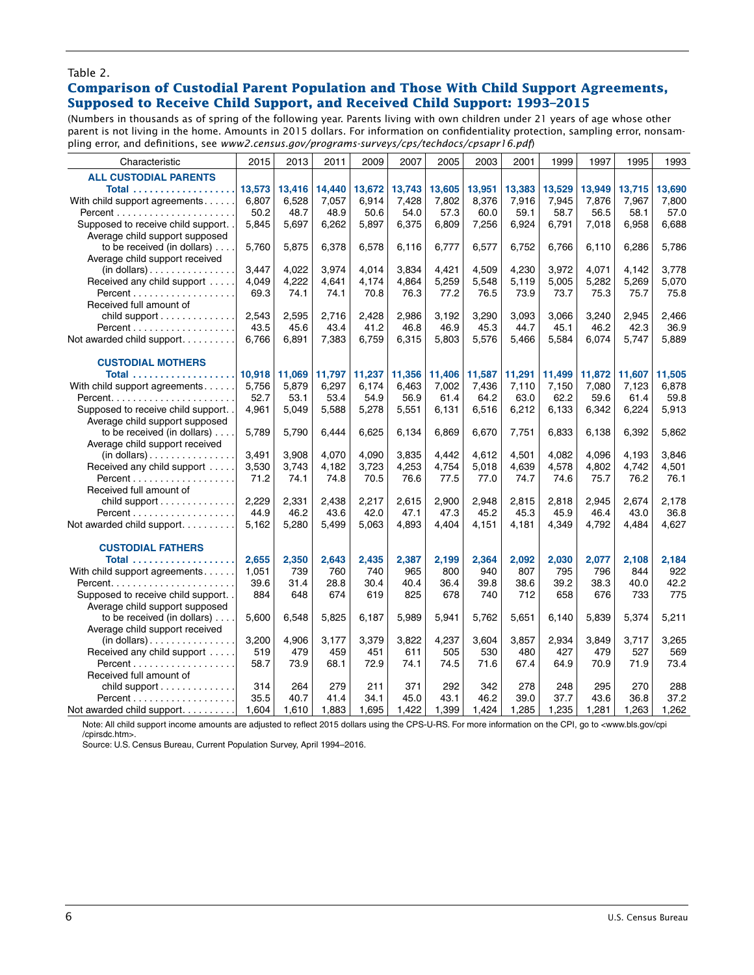#### Table 2.

#### **Comparison of Custodial Parent Population and Those With Child Support Agreements, Supposed to Receive Child Support, and Received Child Support: 1993–2015**

(Numbers in thousands as of spring of the following year. Parents living with own children under 21 years of age whose other parent is not living in the home. Amounts in 2015 dollars. For information on confidentiality protection, sampling error, nonsampling error, and definitions, see *www2.census.gov/programs-surveys/cps/techdocs/cpsapr16.pdf*)

| Characteristic                       | 2015   | 2013   | 2011   | 2009   | 2007   | 2005   | 2003   | 2001   | 1999   | 1997   | 1995   | 1993   |
|--------------------------------------|--------|--------|--------|--------|--------|--------|--------|--------|--------|--------|--------|--------|
| <b>ALL CUSTODIAL PARENTS</b>         |        |        |        |        |        |        |        |        |        |        |        |        |
|                                      | 13,573 | 13,416 | 14,440 | 13,672 | 13,743 | 13,605 | 13,951 | 13,383 | 13,529 | 13,949 | 13,715 | 13,690 |
| With child support agreements        | 6,807  | 6,528  | 7.057  | 6.914  | 7.428  | 7.802  | 8.376  | 7,916  | 7,945  | 7.876  | 7.967  | 7.800  |
|                                      | 50.2   | 48.7   | 48.9   | 50.6   | 54.0   | 57.3   | 60.0   | 59.1   | 58.7   | 56.5   | 58.1   | 57.0   |
| Supposed to receive child support.   | 5,845  | 5,697  | 6,262  | 5,897  | 6,375  | 6,809  | 7,256  | 6,924  | 6,791  | 7,018  | 6,958  | 6,688  |
| Average child support supposed       |        |        |        |        |        |        |        |        |        |        |        |        |
|                                      |        |        |        |        |        |        |        |        |        |        |        |        |
| to be received (in dollars)          | 5,760  | 5,875  | 6,378  | 6,578  | 6,116  | 6,777  | 6,577  | 6,752  | 6,766  | 6,110  | 6,286  | 5,786  |
| Average child support received       |        |        |        |        |        |        |        |        |        |        |        |        |
| $(in$ dollars $)$                    | 3,447  | 4,022  | 3,974  | 4,014  | 3,834  | 4,421  | 4,509  | 4,230  | 3,972  | 4,071  | 4,142  | 3,778  |
| Received any child support           | 4,049  | 4,222  | 4,641  | 4,174  | 4,864  | 5,259  | 5,548  | 5,119  | 5,005  | 5,282  | 5,269  | 5,070  |
|                                      | 69.3   | 74.1   | 74.1   | 70.8   | 76.3   | 77.2   | 76.5   | 73.9   | 73.7   | 75.3   | 75.7   | 75.8   |
| Received full amount of              |        |        |        |        |        |        |        |        |        |        |        |        |
| child support                        | 2,543  | 2.595  | 2.716  | 2.428  | 2.986  | 3.192  | 3,290  | 3.093  | 3.066  | 3.240  | 2,945  | 2,466  |
|                                      | 43.5   | 45.6   | 43.4   | 41.2   | 46.8   | 46.9   | 45.3   | 44.7   | 45.1   | 46.2   | 42.3   | 36.9   |
| Not awarded child support            | 6,766  | 6,891  | 7,383  | 6,759  | 6,315  | 5,803  | 5,576  | 5,466  | 5,584  | 6,074  | 5,747  | 5,889  |
|                                      |        |        |        |        |        |        |        |        |        |        |        |        |
| <b>CUSTODIAL MOTHERS</b>             |        |        |        |        |        |        |        |        |        |        |        |        |
|                                      | 10,918 | 11,069 | 11,797 | 11,237 | 11,356 | 11,406 | 11,587 | 11,291 | 11,499 | 11,872 | 11,607 | 11,505 |
| With child support agreements        | 5,756  | 5,879  | 6,297  | 6.174  | 6,463  | 7.002  | 7,436  | 7,110  | 7,150  | 7.080  | 7,123  | 6,878  |
|                                      | 52.7   | 53.1   | 53.4   | 54.9   | 56.9   | 61.4   | 64.2   | 63.0   | 62.2   | 59.6   | 61.4   | 59.8   |
| Supposed to receive child support.   | 4,961  | 5.049  | 5,588  | 5,278  | 5,551  | 6,131  | 6,516  | 6,212  | 6,133  | 6,342  | 6,224  | 5,913  |
| Average child support supposed       |        |        |        |        |        |        |        |        |        |        |        |        |
| to be received (in dollars)          | 5,789  | 5,790  | 6.444  | 6,625  | 6.134  | 6,869  | 6,670  | 7,751  | 6,833  | 6.138  | 6,392  | 5,862  |
| Average child support received       |        |        |        |        |        |        |        |        |        |        |        |        |
| (in dollars)                         | 3,491  | 3,908  | 4,070  | 4,090  | 3,835  | 4,442  | 4,612  | 4,501  | 4,082  | 4.096  | 4,193  | 3,846  |
| Received any child support           | 3,530  | 3,743  | 4,182  | 3,723  | 4,253  | 4,754  | 5,018  | 4,639  | 4,578  | 4.802  | 4,742  | 4,501  |
|                                      | 71.2   | 74.1   | 74.8   | 70.5   | 76.6   | 77.5   | 77.0   | 74.7   | 74.6   | 75.7   | 76.2   | 76.1   |
| Received full amount of              |        |        |        |        |        |        |        |        |        |        |        |        |
| child support                        | 2,229  | 2,331  | 2,438  | 2,217  | 2,615  | 2.900  | 2,948  | 2,815  | 2,818  | 2.945  | 2.674  | 2,178  |
|                                      | 44.9   | 46.2   | 43.6   | 42.0   | 47.1   | 47.3   | 45.2   | 45.3   | 45.9   | 46.4   | 43.0   | 36.8   |
| Not awarded child support            | 5,162  | 5,280  | 5,499  | 5,063  | 4.893  | 4,404  | 4,151  | 4,181  | 4,349  | 4,792  | 4,484  | 4,627  |
|                                      |        |        |        |        |        |        |        |        |        |        |        |        |
| <b>CUSTODIAL FATHERS</b>             |        |        |        |        |        |        |        |        |        |        |        |        |
|                                      |        |        |        |        |        |        |        |        |        |        |        |        |
|                                      | 2.655  | 2,350  | 2.643  | 2,435  | 2,387  | 2.199  | 2.364  | 2,092  | 2.030  | 2.077  | 2,108  | 2,184  |
| With child support agreements        | 1,051  | 739    | 760    | 740    | 965    | 800    | 940    | 807    | 795    | 796    | 844    | 922    |
|                                      | 39.6   | 31.4   | 28.8   | 30.4   | 40.4   | 36.4   | 39.8   | 38.6   | 39.2   | 38.3   | 40.0   | 42.2   |
| Supposed to receive child support. . | 884    | 648    | 674    | 619    | 825    | 678    | 740    | 712    | 658    | 676    | 733    | 775    |
| Average child support supposed       |        |        |        |        |        |        |        |        |        |        |        |        |
| to be received (in dollars)          | 5,600  | 6.548  | 5,825  | 6,187  | 5.989  | 5,941  | 5,762  | 5,651  | 6.140  | 5,839  | 5,374  | 5,211  |
| Average child support received       |        |        |        |        |        |        |        |        |        |        |        |        |
| $(in$ dollars $)$                    | 3,200  | 4.906  | 3,177  | 3,379  | 3.822  | 4,237  | 3.604  | 3,857  | 2,934  | 3.849  | 3,717  | 3,265  |
| Received any child support           | 519    | 479    | 459    | 451    | 611    | 505    | 530    | 480    | 427    | 479    | 527    | 569    |
|                                      | 58.7   | 73.9   | 68.1   | 72.9   | 74.1   | 74.5   | 71.6   | 67.4   | 64.9   | 70.9   | 71.9   | 73.4   |
| Received full amount of              |        |        |        |        |        |        |        |        |        |        |        |        |
| child support                        | 314    | 264    | 279    | 211    | 371    | 292    | 342    | 278    | 248    | 295    | 270    | 288    |
|                                      | 35.5   | 40.7   | 41.4   | 34.1   | 45.0   | 43.1   | 46.2   | 39.0   | 37.7   | 43.6   | 36.8   | 37.2   |
| Not awarded child support.           | 1.604  | 1.610  | 1.883  | 1.695  | 1.422  | 1.399  | 1.424  | 1.285  | 1,235  | 1.281  | 1.263  | 1.262  |

Note: All child support income amounts are adjusted to reflect 2015 dollars using the CPS-U-RS. For more information on the CPI, go to <www.bls.gov/cpi /cpirsdc.htm>.

Source: U.S. Census Bureau, Current Population Survey, April 1994–2016.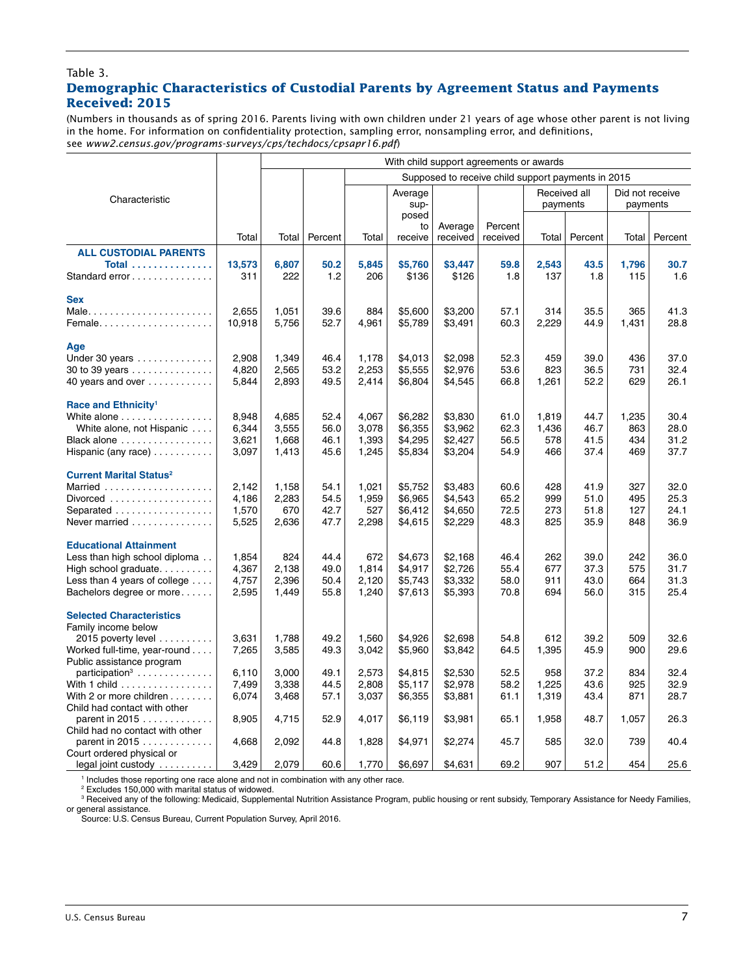#### Table 3.

# **Demographic Characteristics of Custodial Parents by Agreement Status and Payments Received: 2015**

(Numbers in thousands as of spring 2016. Parents living with own children under 21 years of age whose other parent is not living in the home. For information on confidentiality protection, sampling error, nonsampling error, and definitions, see *www2.census.gov/programs-surveys/cps/techdocs/cpsapr16.pdf*)

|                                                        |                | With child support agreements or awards            |              |                |                        |                     |                     |                          |              |                             |              |  |
|--------------------------------------------------------|----------------|----------------------------------------------------|--------------|----------------|------------------------|---------------------|---------------------|--------------------------|--------------|-----------------------------|--------------|--|
|                                                        |                | Supposed to receive child support payments in 2015 |              |                |                        |                     |                     |                          |              |                             |              |  |
| Characteristic                                         |                |                                                    |              |                | Average<br>sup-        |                     |                     | Received all<br>payments |              | Did not receive<br>payments |              |  |
|                                                        | Total          | Total                                              | Percent      | Total          | posed<br>to<br>receive | Average<br>received | Percent<br>received | Total                    | Percent      | Total                       | Percent      |  |
| <b>ALL CUSTODIAL PARENTS</b>                           |                |                                                    |              |                |                        |                     |                     |                          |              |                             |              |  |
| Total                                                  | 13,573         | 6,807                                              | 50.2         | 5,845          | \$5,760                | \$3,447             | 59.8                | 2,543                    | 43.5         | 1,796                       | 30.7         |  |
| Standard error                                         | 311            | 222                                                | 1.2          | 206            | \$136                  | \$126               | 1.8                 | 137                      | 1.8          | 115                         | 1.6          |  |
| <b>Sex</b>                                             |                |                                                    |              |                |                        |                     |                     |                          |              |                             |              |  |
| Male                                                   | 2,655          | 1,051                                              | 39.6         | 884            | \$5,600                | \$3,200             | 57.1                | 314                      | 35.5         | 365                         | 41.3         |  |
| Female                                                 | 10,918         | 5,756                                              | 52.7         | 4,961          | \$5,789                | \$3,491             | 60.3                | 2,229                    | 44.9         | 1,431                       | 28.8         |  |
|                                                        |                |                                                    |              |                |                        |                     |                     |                          |              |                             |              |  |
| Age                                                    |                |                                                    |              |                |                        |                     |                     |                          |              |                             |              |  |
| Under 30 years                                         | 2,908<br>4,820 | 1,349<br>2,565                                     | 46.4<br>53.2 | 1,178<br>2,253 | \$4,013<br>\$5,555     | \$2,098<br>\$2,976  | 52.3<br>53.6        | 459<br>823               | 39.0<br>36.5 | 436<br>731                  | 37.0<br>32.4 |  |
| 30 to 39 years<br>40 years and over                    | 5,844          | 2,893                                              | 49.5         | 2,414          | \$6,804                | \$4,545             | 66.8                | 1,261                    | 52.2         | 629                         | 26.1         |  |
|                                                        |                |                                                    |              |                |                        |                     |                     |                          |              |                             |              |  |
| Race and Ethnicity <sup>1</sup>                        |                |                                                    |              |                |                        |                     |                     |                          |              |                             |              |  |
| White alone                                            | 8,948          | 4,685                                              | 52.4         | 4,067          | \$6,282                | \$3,830             | 61.0                | 1,819                    | 44.7         | 1,235                       | 30.4         |  |
| White alone, not Hispanic                              | 6,344          | 3,555                                              | 56.0         | 3,078          | \$6,355                | \$3,962             | 62.3                | 1,436                    | 46.7         | 863                         | 28.0         |  |
| Black alone                                            | 3,621          | 1,668                                              | 46.1         | 1,393          | \$4,295                | \$2,427             | 56.5                | 578                      | 41.5         | 434                         | 31.2         |  |
| Hispanic (any race) $\ldots \ldots \ldots$             | 3,097          | 1,413                                              | 45.6         | 1,245          | \$5,834                | \$3,204             | 54.9                | 466                      | 37.4         | 469                         | 37.7         |  |
| <b>Current Marital Status<sup>2</sup></b>              |                |                                                    |              |                |                        |                     |                     |                          |              |                             |              |  |
| Married                                                | 2,142          | 1,158                                              | 54.1         | 1,021          | \$5,752                | \$3,483             | 60.6                | 428                      | 41.9         | 327                         | 32.0         |  |
| Divorced                                               | 4,186          | 2,283                                              | 54.5         | 1,959          | \$6,965                | \$4,543             | 65.2                | 999                      | 51.0         | 495                         | 25.3         |  |
| Separated                                              | 1,570          | 670                                                | 42.7         | 527            | \$6,412                | \$4,650             | 72.5                | 273                      | 51.8         | 127                         | 24.1         |  |
| Never married                                          | 5,525          | 2,636                                              | 47.7         | 2,298          | \$4,615                | \$2,229             | 48.3                | 825                      | 35.9         | 848                         | 36.9         |  |
| <b>Educational Attainment</b>                          |                |                                                    |              |                |                        |                     |                     |                          |              |                             |              |  |
| Less than high school diploma                          | 1,854          | 824                                                | 44.4         | 672            | \$4,673                | \$2,168             | 46.4                | 262                      | 39.0         | 242                         | 36.0         |  |
| High school graduate.                                  | 4,367          | 2,138                                              | 49.0         | 1,814          | \$4,917                | \$2,726             | 55.4                | 677                      | 37.3         | 575                         | 31.7         |  |
| Less than 4 years of college $\dots$ .                 | 4,757          | 2,396                                              | 50.4         | 2,120          | \$5,743                | \$3,332             | 58.0                | 911                      | 43.0         | 664                         | 31.3         |  |
| Bachelors degree or more                               | 2,595          | 1,449                                              | 55.8         | 1,240          | \$7,613                | \$5,393             | 70.8                | 694                      | 56.0         | 315                         | 25.4         |  |
|                                                        |                |                                                    |              |                |                        |                     |                     |                          |              |                             |              |  |
| <b>Selected Characteristics</b><br>Family income below |                |                                                    |              |                |                        |                     |                     |                          |              |                             |              |  |
| 2015 poverty level                                     | 3,631          | 1,788                                              | 49.2         | 1,560          | \$4,926                | \$2,698             | 54.8                | 612                      | 39.2         | 509                         | 32.6         |  |
| Worked full-time, year-round                           | 7,265          | 3,585                                              | 49.3         | 3,042          | \$5,960                | \$3,842             | 64.5                | 1,395                    | 45.9         | 900                         | 29.6         |  |
| Public assistance program                              |                |                                                    |              |                |                        |                     |                     |                          |              |                             |              |  |
| $participation3$                                       | 6,110          | 3,000                                              | 49.1         | 2,573          | \$4,815                | \$2,530             | 52.5                | 958                      | 37.2         | 834                         | 32.4         |  |
| With 1 child                                           | 7,499          | 3,338                                              | 44.5         | 2,808          | \$5,117                | \$2,978             | 58.2                | 1,225                    | 43.6         | 925                         | 32.9         |  |
| With 2 or more children                                | 6,074          | 3,468                                              | 57.1         | 3,037          | \$6,355                | \$3,881             | 61.1                | 1,319                    | 43.4         | 871                         | 28.7         |  |
| Child had contact with other                           |                |                                                    |              |                |                        |                     |                     |                          |              |                             |              |  |
| parent in 2015<br>Child had no contact with other      | 8,905          | 4,715                                              | 52.9         | 4,017          | \$6,119                | \$3,981             | 65.1                | 1,958                    | 48.7         | 1,057                       | 26.3         |  |
| parent in 2015 $\ldots$                                | 4,668          | 2,092                                              | 44.8         | 1,828          | \$4,971                | \$2,274             | 45.7                | 585                      | 32.0         | 739                         | 40.4         |  |
| Court ordered physical or                              |                |                                                    |              |                |                        |                     |                     |                          |              |                             |              |  |
| legal joint custody                                    | 3,429          | 2,079                                              | 60.6         | 1,770          | \$6,697                | \$4,631             | 69.2                | 907                      | 51.2         | 454                         | 25.6         |  |

1 Includes those reporting one race alone and not in combination with any other race.

2 Excludes 150,000 with marital status of widowed.

<sup>3</sup> Received any of the following: Medicaid, Supplemental Nutrition Assistance Program, public housing or rent subsidy, Temporary Assistance for Needy Families, or general assistance.

Source: U.S. Census Bureau, Current Population Survey, April 2016.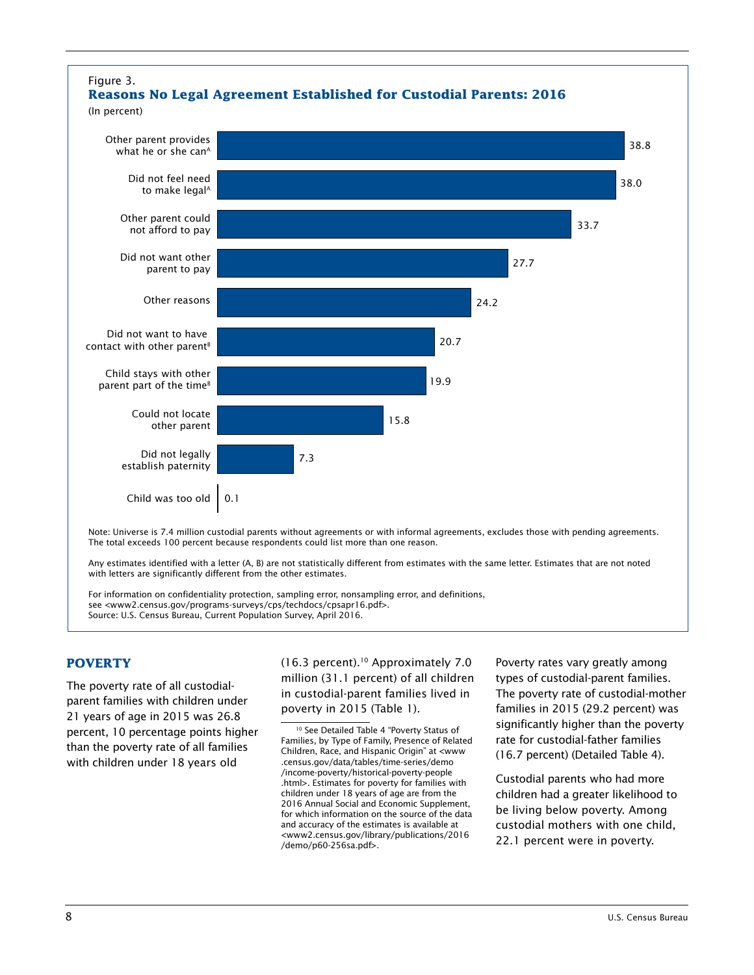

# **POVERTY**

The poverty rate of all custodialparent families with children under 21 years of age in 2015 was 26.8 percent, 10 percentage points higher than the poverty rate of all families with children under 18 years old

(16.3 percent).10 Approximately 7.0 million (31.1 percent) of all children in custodial-parent families lived in poverty in 2015 (Table 1).

Poverty rates vary greatly among types of custodial-parent families. The poverty rate of custodial-mother families in 2015 (29.2 percent) was significantly higher than the poverty rate for custodial-father families (16.7 percent) (Detailed Table 4).

Custodial parents who had more children had a greater likelihood to be living below poverty. Among custodial mothers with one child, 22.1 percent were in poverty.

<sup>10</sup> See Detailed Table 4 "Poverty Status of Families, by Type of Family, Presence of Related Children, Race, and Hispanic Origin" at <www .census.gov/data/tables/time-series/demo /income-poverty/historical-poverty-people .html>. Estimates for poverty for families with children under 18 years of age are from the 2016 Annual Social and Economic Supplement, for which information on the source of the data and accuracy of the estimates is available at <www2.census.gov/library/publications/2016 /demo/p60-256sa.pdf>.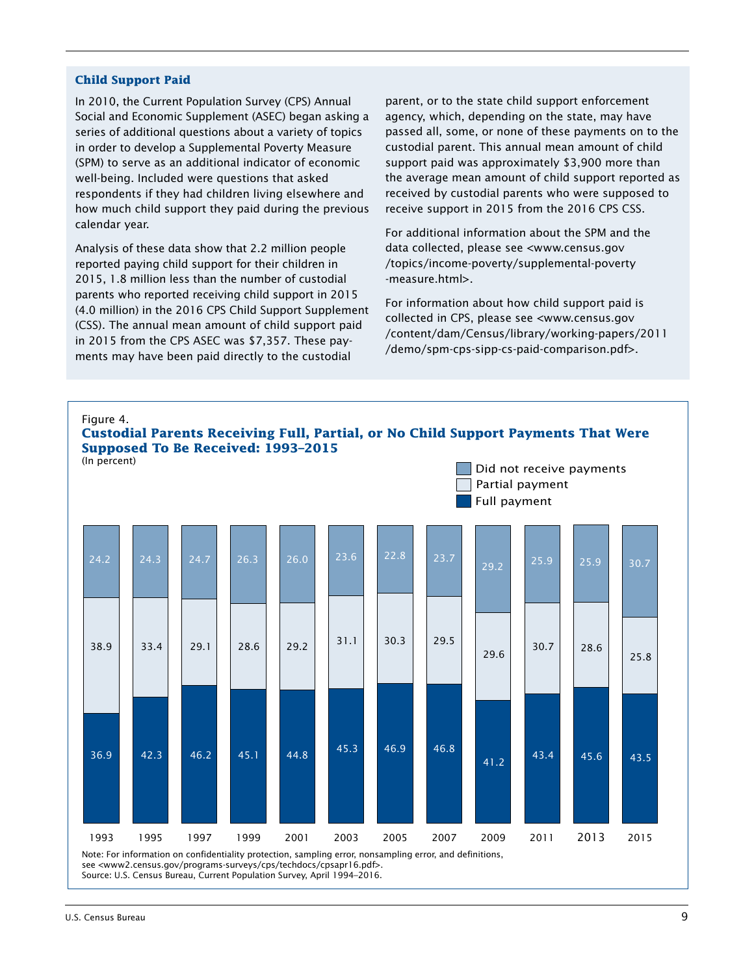#### **Child Support Paid**

In 2010, the Current Population Survey (CPS) Annual Social and Economic Supplement (ASEC) began asking a series of additional questions about a variety of topics in order to develop a Supplemental Poverty Measure (SPM) to serve as an additional indicator of economic well-being. Included were questions that asked respondents if they had children living elsewhere and how much child support they paid during the previous calendar year.

Analysis of these data show that 2.2 million people reported paying child support for their children in 2015, 1.8 million less than the number of custodial parents who reported receiving child support in 2015 (4.0 million) in the 2016 CPS Child Support Supplement (CSS). The annual mean amount of child support paid in 2015 from the CPS ASEC was \$7,357. These payments may have been paid directly to the custodial

parent, or to the state child support enforcement agency, which, depending on the state, may have passed all, some, or none of these payments on to the custodial parent. This annual mean amount of child support paid was approximately \$3,900 more than the average mean amount of child support reported as received by custodial parents who were supposed to receive support in 2015 from the 2016 CPS CSS.

For additional information about the SPM and the data collected, please see <www.census.gov /topics/income-poverty/supplemental-poverty -measure.html>.

For information about how child support paid is collected in CPS, please see <www.census.gov /content/dam/Census/library/working-papers/2011 /demo/spm-cps-sipp-cs-paid-comparison.pdf>.

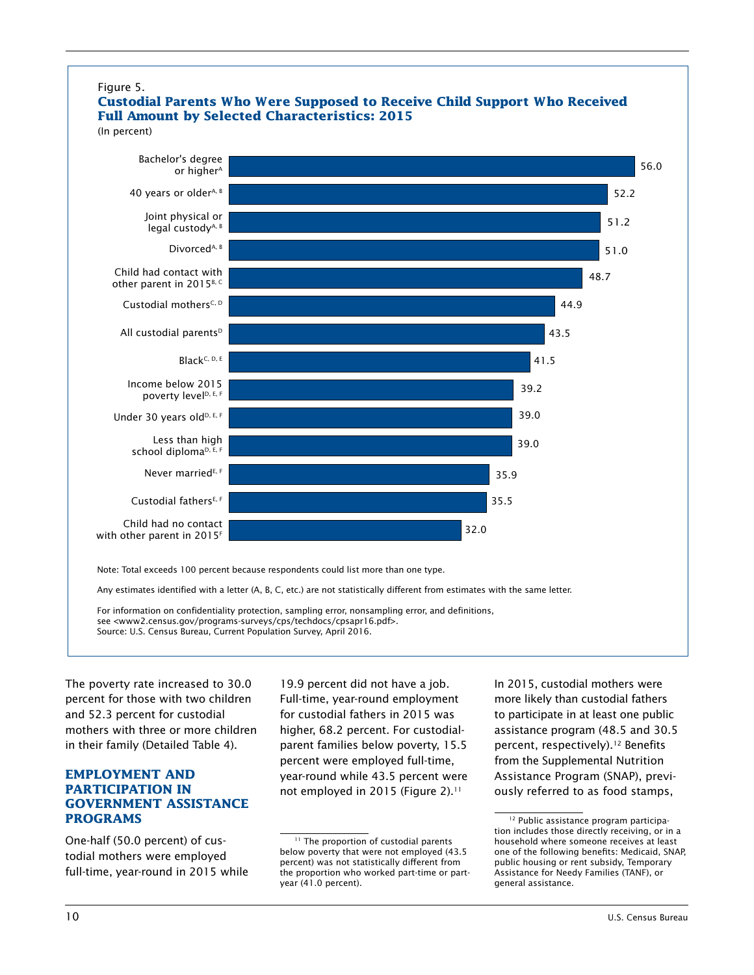

The poverty rate increased to 30.0 percent for those with two children and 52.3 percent for custodial mothers with three or more children in their family (Detailed Table 4).

# **EMPLOYMENT AND PARTICIPATION IN GOVERNMENT ASSISTANCE PROGRAMS**

One-half (50.0 percent) of custodial mothers were employed full-time, year-round in 2015 while

19.9 percent did not have a job. Full-time, year-round employment for custodial fathers in 2015 was higher, 68.2 percent. For custodialparent families below poverty, 15.5 percent were employed full-time, year-round while 43.5 percent were not employed in 2015 (Figure 2).<sup>11</sup>

In 2015, custodial mothers were more likely than custodial fathers to participate in at least one public assistance program (48.5 and 30.5 percent, respectively).<sup>12</sup> Benefits from the Supplemental Nutrition Assistance Program (SNAP), previously referred to as food stamps,

<sup>11</sup> The proportion of custodial parents below poverty that were not employed (43.5 percent) was not statistically different from the proportion who worked part-time or partyear (41.0 percent).

<sup>12</sup> Public assistance program participation includes those directly receiving, or in a household where someone receives at least one of the following benefits: Medicaid, SNAP, public housing or rent subsidy, Temporary Assistance for Needy Families (TANF), or general assistance.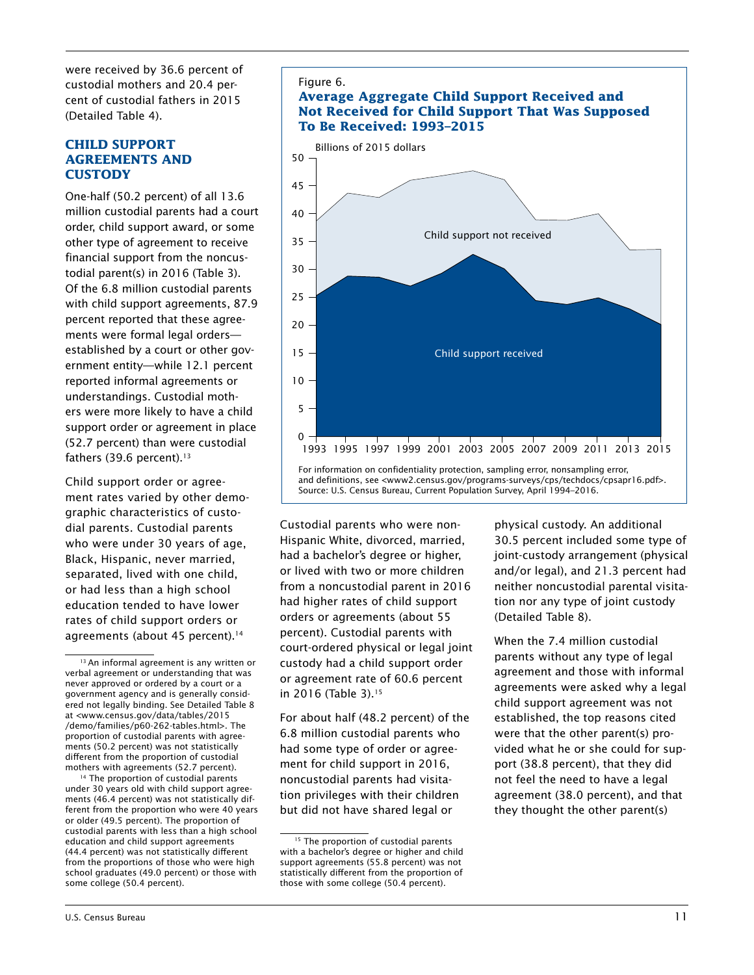were received by 36.6 percent of custodial mothers and 20.4 percent of custodial fathers in 2015 (Detailed Table 4).

# **CHILD SUPPORT AGREEMENTS AND CUSTODY**

One-half (50.2 percent) of all 13.6 million custodial parents had a court order, child support award, or some other type of agreement to receive financial support from the noncustodial parent(s) in 2016 (Table 3). Of the 6.8 million custodial parents with child support agreements, 87.9 percent reported that these agreements were formal legal orders established by a court or other government entity—while 12.1 percent reported informal agreements or understandings. Custodial mothers were more likely to have a child support order or agreement in place (52.7 percent) than were custodial fathers  $(39.6$  percent).<sup>13</sup>

Child support order or agreement rates varied by other demographic characteristics of custodial parents. Custodial parents who were under 30 years of age, Black, Hispanic, never married, separated, lived with one child, or had less than a high school education tended to have lower rates of child support orders or agreements (about 45 percent).<sup>14</sup>

<sup>14</sup> The proportion of custodial parents under 30 years old with child support agreements (46.4 percent) was not statistically different from the proportion who were 40 years or older (49.5 percent). The proportion of custodial parents with less than a high school education and child support agreements (44.4 percent) was not statistically different from the proportions of those who were high school graduates (49.0 percent) or those with some college (50.4 percent).



# **Average Aggregate Child Support Received and Not Received for Child Support That Was Supposed To Be Received: 1993–2015**



For information on confidentiality protection, sampling error, nonsampling error, and definitions, see <www2.census.gov/programs-surveys/cps/techdocs/cpsapr16.pdf>. Source: U.S. Census Bureau, Current Population Survey, April 1994–2016.

Custodial parents who were non-Hispanic White, divorced, married, had a bachelor's degree or higher, or lived with two or more children from a noncustodial parent in 2016 had higher rates of child support orders or agreements (about 55 percent). Custodial parents with court-ordered physical or legal joint custody had a child support order or agreement rate of 60.6 percent in 2016 (Table 3).<sup>15</sup>

For about half (48.2 percent) of the 6.8 million custodial parents who had some type of order or agreement for child support in 2016, noncustodial parents had visitation privileges with their children but did not have shared legal or

physical custody. An additional 30.5 percent included some type of joint-custody arrangement (physical and/or legal), and 21.3 percent had neither noncustodial parental visitation nor any type of joint custody (Detailed Table 8).

When the 7.4 million custodial parents without any type of legal agreement and those with informal agreements were asked why a legal child support agreement was not established, the top reasons cited were that the other parent(s) provided what he or she could for support (38.8 percent), that they did not feel the need to have a legal agreement (38.0 percent), and that they thought the other parent(s)

<sup>&</sup>lt;sup>13</sup> An informal agreement is any written or verbal agreement or understanding that was never approved or ordered by a court or a government agency and is generally considered not legally binding. See Detailed Table 8 at <www.census.gov/data/tables/2015 /demo/families/p60-262-tables.html>. The proportion of custodial parents with agreements (50.2 percent) was not statistically different from the proportion of custodial mothers with agreements (52.7 percent).

<sup>&</sup>lt;sup>15</sup> The proportion of custodial parents with a bachelor's degree or higher and child support agreements (55.8 percent) was not statistically different from the proportion of those with some college (50.4 percent).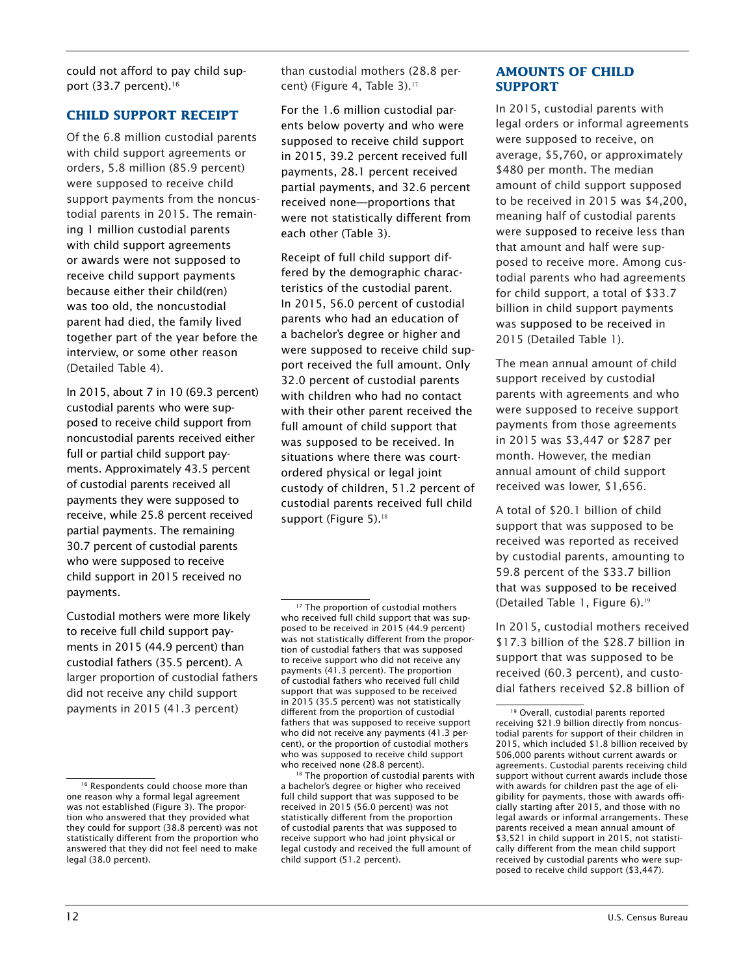could not afford to pay child support (33.7 percent).<sup>16</sup>

# **CHILD SUPPORT RECEIPT**

Of the 6.8 million custodial parents with child support agreements or orders, 5.8 million (85.9 percent) were supposed to receive child support payments from the noncustodial parents in 2015. The remaining 1 million custodial parents with child support agreements or awards were not supposed to receive child support payments because either their child(ren) was too old, the noncustodial parent had died, the family lived together part of the year before the interview, or some other reason (Detailed Table 4).

In 2015, about 7 in 10 (69.3 percent) custodial parents who were supposed to receive child support from noncustodial parents received either full or partial child support payments. Approximately 43.5 percent of custodial parents received all payments they were supposed to receive, while 25.8 percent received partial payments. The remaining 30.7 percent of custodial parents who were supposed to receive child support in 2015 received no payments.

Custodial mothers were more likely to receive full child support payments in 2015 (44.9 percent) than custodial fathers (35.5 percent). A larger proportion of custodial fathers did not receive any child support payments in 2015 (41.3 percent)

than custodial mothers (28.8 percent) (Figure 4, Table 3).<sup>17</sup>

For the 1.6 million custodial parents below poverty and who were supposed to receive child support in 2015, 39.2 percent received full payments, 28.1 percent received partial payments, and 32.6 percent received none—proportions that were not statistically different from each other (Table 3).

Receipt of full child support differed by the demographic characteristics of the custodial parent. In 2015, 56.0 percent of custodial parents who had an education of a bachelor's degree or higher and were supposed to receive child support received the full amount. Only 32.0 percent of custodial parents with children who had no contact with their other parent received the full amount of child support that was supposed to be received. In situations where there was courtordered physical or legal joint custody of children, 51.2 percent of custodial parents received full child support (Figure 5).<sup>18</sup>

<sup>18</sup> The proportion of custodial parents with a bachelor's degree or higher who received full child support that was supposed to be received in 2015 (56.0 percent) was not statistically different from the proportion of custodial parents that was supposed to receive support who had joint physical or legal custody and received the full amount of child support (51.2 percent).

# **AMOUNTS OF CHILD SUPPORT**

In 2015, custodial parents with legal orders or informal agreements were supposed to receive, on average, \$5,760, or approximately \$480 per month. The median amount of child support supposed to be received in 2015 was \$4,200, meaning half of custodial parents were supposed to receive less than that amount and half were supposed to receive more. Among custodial parents who had agreements for child support, a total of \$33.7 billion in child support payments was supposed to be received in 2015 (Detailed Table 1).

The mean annual amount of child support received by custodial parents with agreements and who were supposed to receive support payments from those agreements in 2015 was \$3,447 or \$287 per month. However, the median annual amount of child support received was lower, \$1,656.

A total of \$20.1 billion of child support that was supposed to be received was reported as received by custodial parents, amounting to 59.8 percent of the \$33.7 billion that was supposed to be received (Detailed Table 1, Figure 6).<sup>19</sup>

In 2015, custodial mothers received \$17.3 billion of the \$28.7 billion in support that was supposed to be received (60.3 percent), and custodial fathers received \$2.8 billion of

<sup>&</sup>lt;sup>16</sup> Respondents could choose more than one reason why a formal legal agreement was not established (Figure 3). The proportion who answered that they provided what they could for support (38.8 percent) was not statistically different from the proportion who answered that they did not feel need to make legal (38.0 percent).

<sup>&</sup>lt;sup>17</sup> The proportion of custodial mothers who received full child support that was supposed to be received in 2015 (44.9 percent) was not statistically different from the proportion of custodial fathers that was supposed to receive support who did not receive any payments (41.3 percent). The proportion of custodial fathers who received full child support that was supposed to be received in 2015 (35.5 percent) was not statistically different from the proportion of custodial fathers that was supposed to receive support who did not receive any payments (41.3 percent), or the proportion of custodial mothers who was supposed to receive child support who received none (28.8 percent).

<sup>19</sup> Overall, custodial parents reported receiving \$21.9 billion directly from noncustodial parents for support of their children in 2015, which included \$1.8 billion received by 506,000 parents without current awards or agreements. Custodial parents receiving child support without current awards include those with awards for children past the age of eligibility for payments, those with awards officially starting after 2015, and those with no legal awards or informal arrangements. These parents received a mean annual amount of \$3,521 in child support in 2015, not statistically different from the mean child support received by custodial parents who were supposed to receive child support (\$3,447).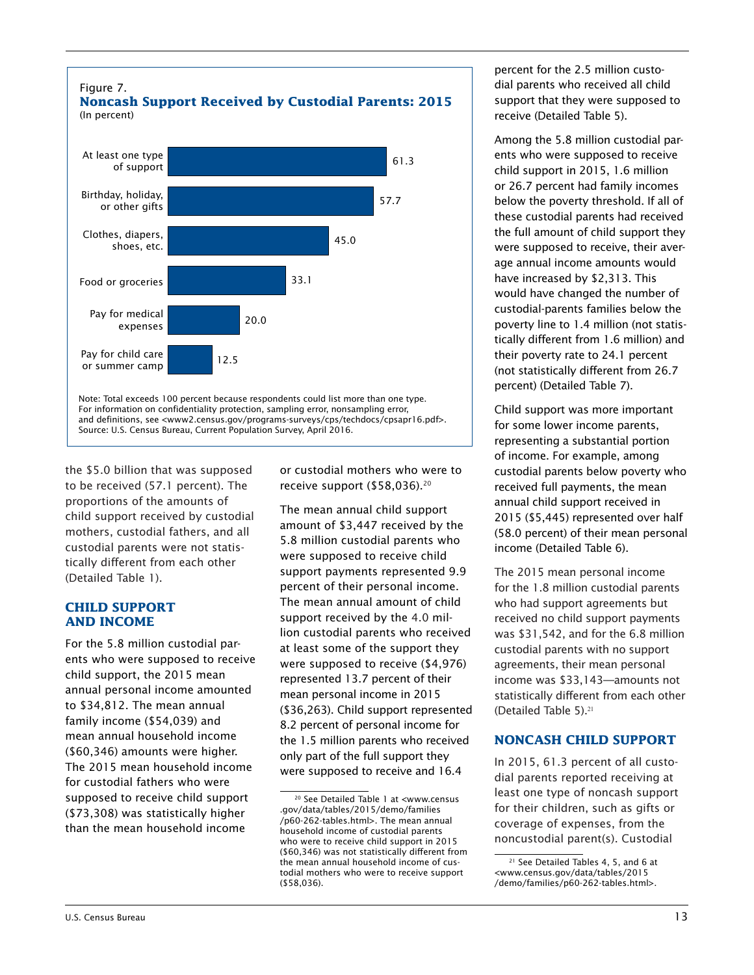

the \$5.0 billion that was supposed to be received (57.1 percent). The proportions of the amounts of child support received by custodial mothers, custodial fathers, and all custodial parents were not statistically different from each other (Detailed Table 1).

#### **CHILD SUPPORT AND INCOME**

For the 5.8 million custodial parents who were supposed to receive child support, the 2015 mean annual personal income amounted to \$34,812. The mean annual family income (\$54,039) and mean annual household income (\$60,346) amounts were higher. The 2015 mean household income for custodial fathers who were supposed to receive child support (\$73,308) was statistically higher than the mean household income

or custodial mothers who were to receive support (\$58,036).20

The mean annual child support amount of \$3,447 received by the 5.8 million custodial parents who were supposed to receive child support payments represented 9.9 percent of their personal income. The mean annual amount of child support received by the 4.0 million custodial parents who received at least some of the support they were supposed to receive (\$4,976) represented 13.7 percent of their mean personal income in 2015 (\$36,263). Child support represented 8.2 percent of personal income for the 1.5 million parents who received only part of the full support they were supposed to receive and 16.4

percent for the 2.5 million custodial parents who received all child support that they were supposed to receive (Detailed Table 5).

Among the 5.8 million custodial parents who were supposed to receive child support in 2015, 1.6 million or 26.7 percent had family incomes below the poverty threshold. If all of these custodial parents had received the full amount of child support they were supposed to receive, their average annual income amounts would have increased by \$2,313. This would have changed the number of custodial-parents families below the poverty line to 1.4 million (not statistically different from 1.6 million) and their poverty rate to 24.1 percent (not statistically different from 26.7 percent) (Detailed Table 7).

Child support was more important for some lower income parents, representing a substantial portion of income. For example, among custodial parents below poverty who received full payments, the mean annual child support received in 2015 (\$5,445) represented over half (58.0 percent) of their mean personal income (Detailed Table 6).

The 2015 mean personal income for the 1.8 million custodial parents who had support agreements but received no child support payments was \$31,542, and for the 6.8 million custodial parents with no support agreements, their mean personal income was \$33,143—amounts not statistically different from each other (Detailed Table 5).<sup>21</sup>

# **NONCASH CHILD SUPPORT**

In 2015, 61.3 percent of all custodial parents reported receiving at least one type of noncash support for their children, such as gifts or coverage of expenses, from the noncustodial parent(s). Custodial

<sup>20</sup> See Detailed Table 1 at <www.census .gov/data/tables/2015/demo/families /p60-262-tables.html>. The mean annual household income of custodial parents who were to receive child support in 2015 (\$60,346) was not statistically different from the mean annual household income of custodial mothers who were to receive support (\$58,036).

<sup>21</sup> See Detailed Tables 4, 5, and 6 at <www.census.gov/data/tables/2015 /demo/families/p60-262-tables.html>.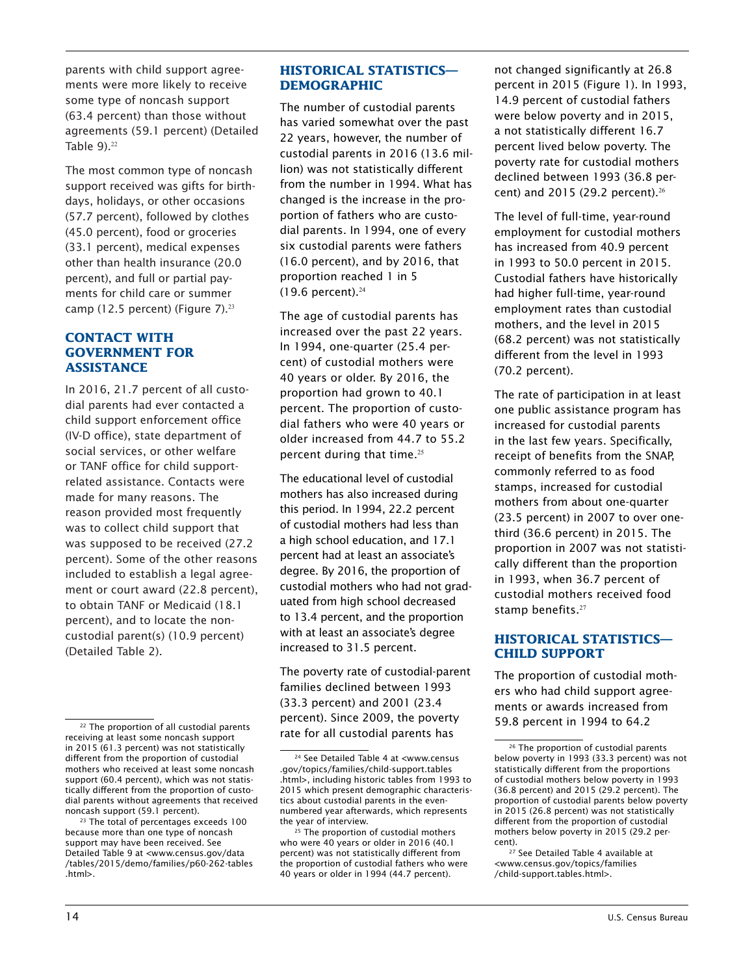parents with child support agreements were more likely to receive some type of noncash support (63.4 percent) than those without agreements (59.1 percent) (Detailed Table  $9$ ). $22$ 

The most common type of noncash support received was gifts for birthdays, holidays, or other occasions (57.7 percent), followed by clothes (45.0 percent), food or groceries (33.1 percent), medical expenses other than health insurance (20.0 percent), and full or partial payments for child care or summer camp (12.5 percent) (Figure 7).<sup>23</sup>

# **CONTACT WITH GOVERNMENT FOR ASSISTANCE**

In 2016, 21.7 percent of all custodial parents had ever contacted a child support enforcement office (IV-D office), state department of social services, or other welfare or TANF office for child supportrelated assistance. Contacts were made for many reasons. The reason provided most frequently was to collect child support that was supposed to be received (27.2 percent). Some of the other reasons included to establish a legal agreement or court award (22.8 percent), to obtain TANF or Medicaid (18.1 percent), and to locate the noncustodial parent(s) (10.9 percent) (Detailed Table 2).

23 The total of percentages exceeds 100 because more than one type of noncash support may have been received. See Detailed Table 9 at <www.census.gov/data /tables/2015/demo/families/p60-262-tables .html>.

#### **HISTORICAL STATISTICS— DEMOGRAPHIC**

The number of custodial parents has varied somewhat over the past 22 years, however, the number of custodial parents in 2016 (13.6 million) was not statistically different from the number in 1994. What has changed is the increase in the proportion of fathers who are custodial parents. In 1994, one of every six custodial parents were fathers (16.0 percent), and by 2016, that proportion reached 1 in 5  $(19.6$  percent).<sup>24</sup>

The age of custodial parents has increased over the past 22 years. In 1994, one-quarter (25.4 percent) of custodial mothers were 40 years or older. By 2016, the proportion had grown to 40.1 percent. The proportion of custodial fathers who were 40 years or older increased from 44.7 to 55.2 percent during that time.<sup>25</sup>

The educational level of custodial mothers has also increased during this period. In 1994, 22.2 percent of custodial mothers had less than a high school education, and 17.1 percent had at least an associate's degree. By 2016, the proportion of custodial mothers who had not graduated from high school decreased to 13.4 percent, and the proportion with at least an associate's degree increased to 31.5 percent.

The poverty rate of custodial-parent families declined between 1993 (33.3 percent) and 2001 (23.4 percent). Since 2009, the poverty rate for all custodial parents has

not changed significantly at 26.8 percent in 2015 (Figure 1). In 1993, 14.9 percent of custodial fathers were below poverty and in 2015, a not statistically different 16.7 percent lived below poverty. The poverty rate for custodial mothers declined between 1993 (36.8 percent) and 2015 (29.2 percent).<sup>26</sup>

The level of full-time, year-round employment for custodial mothers has increased from 40.9 percent in 1993 to 50.0 percent in 2015. Custodial fathers have historically had higher full-time, year-round employment rates than custodial mothers, and the level in 2015 (68.2 percent) was not statistically different from the level in 1993 (70.2 percent).

The rate of participation in at least one public assistance program has increased for custodial parents in the last few years. Specifically, receipt of benefits from the SNAP, commonly referred to as food stamps, increased for custodial mothers from about one-quarter (23.5 percent) in 2007 to over onethird (36.6 percent) in 2015. The proportion in 2007 was not statistically different than the proportion in 1993, when 36.7 percent of custodial mothers received food stamp benefits.<sup>27</sup>

# **HISTORICAL STATISTICS— CHILD SUPPORT**

The proportion of custodial mothers who had child support agreements or awards increased from 59.8 percent in 1994 to 64.2

<sup>&</sup>lt;sup>22</sup> The proportion of all custodial parents receiving at least some noncash support in 2015 (61.3 percent) was not statistically different from the proportion of custodial mothers who received at least some noncash support (60.4 percent), which was not statistically different from the proportion of custodial parents without agreements that received noncash support (59.1 percent).

<sup>24</sup> See Detailed Table 4 at <www.census .gov/topics/families/child-support.tables .html>, including historic tables from 1993 to 2015 which present demographic characteristics about custodial parents in the evennumbered year afterwards, which represents the year of interview.

<sup>&</sup>lt;sup>25</sup> The proportion of custodial mothers who were 40 years or older in 2016 (40.1 percent) was not statistically different from the proportion of custodial fathers who were 40 years or older in 1994 (44.7 percent).

<sup>&</sup>lt;sup>26</sup> The proportion of custodial parents below poverty in 1993 (33.3 percent) was not statistically different from the proportions of custodial mothers below poverty in 1993 (36.8 percent) and 2015 (29.2 percent). The proportion of custodial parents below poverty in 2015 (26.8 percent) was not statistically different from the proportion of custodial mothers below poverty in 2015 (29.2 percent).

<sup>&</sup>lt;sup>27</sup> See Detailed Table 4 available at <www.census.gov/topics/families /child-support.tables.html>.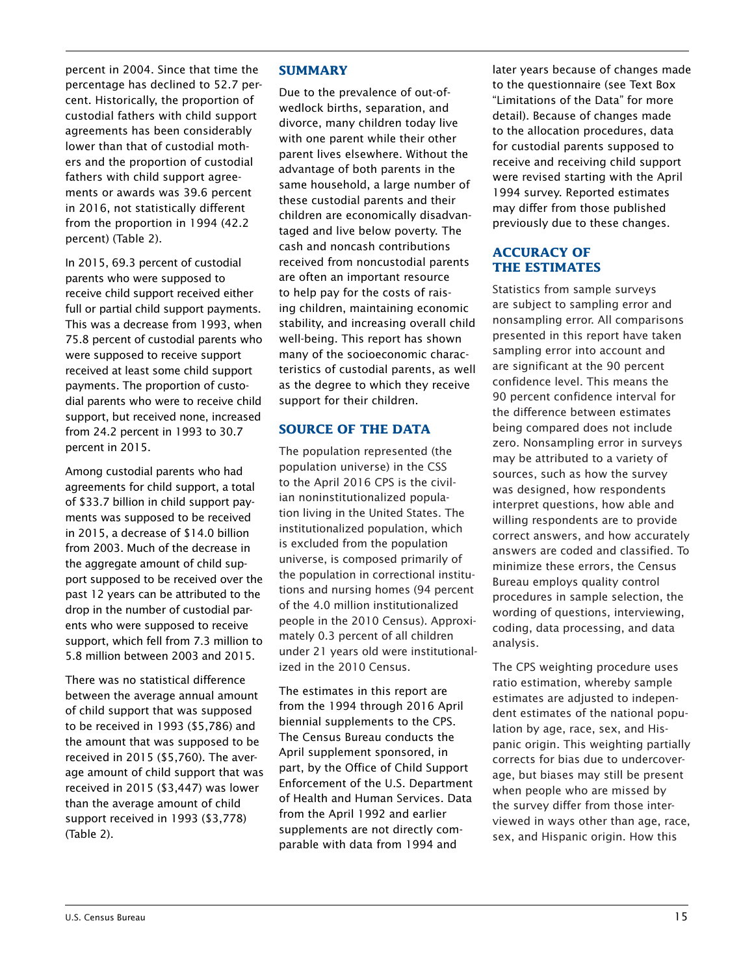percent in 2004. Since that time the percentage has declined to 52.7 percent. Historically, the proportion of custodial fathers with child support agreements has been considerably lower than that of custodial mothers and the proportion of custodial fathers with child support agreements or awards was 39.6 percent in 2016, not statistically different from the proportion in 1994 (42.2 percent) (Table 2).

In 2015, 69.3 percent of custodial parents who were supposed to receive child support received either full or partial child support payments. This was a decrease from 1993, when 75.8 percent of custodial parents who were supposed to receive support received at least some child support payments. The proportion of custodial parents who were to receive child support, but received none, increased from 24.2 percent in 1993 to 30.7 percent in 2015.

Among custodial parents who had agreements for child support, a total of \$33.7 billion in child support payments was supposed to be received in 2015, a decrease of \$14.0 billion from 2003. Much of the decrease in the aggregate amount of child support supposed to be received over the past 12 years can be attributed to the drop in the number of custodial parents who were supposed to receive support, which fell from 7.3 million to 5.8 million between 2003 and 2015.

There was no statistical difference between the average annual amount of child support that was supposed to be received in 1993 (\$5,786) and the amount that was supposed to be received in 2015 (\$5,760). The average amount of child support that was received in 2015 (\$3,447) was lower than the average amount of child support received in 1993 (\$3,778) (Table 2).

#### **SUMMARY**

Due to the prevalence of out-ofwedlock births, separation, and divorce, many children today live with one parent while their other parent lives elsewhere. Without the advantage of both parents in the same household, a large number of these custodial parents and their children are economically disadvantaged and live below poverty. The cash and noncash contributions received from noncustodial parents are often an important resource to help pay for the costs of raising children, maintaining economic stability, and increasing overall child well-being. This report has shown many of the socioeconomic characteristics of custodial parents, as well as the degree to which they receive support for their children.

# **SOURCE OF THE DATA**

The population represented (the population universe) in the CSS to the April 2016 CPS is the civilian noninstitutionalized population living in the United States. The institutionalized population, which is excluded from the population universe, is composed primarily of the population in correctional institutions and nursing homes (94 percent of the 4.0 million institutionalized people in the 2010 Census). Approximately 0.3 percent of all children under 21 years old were institutionalized in the 2010 Census.

The estimates in this report are from the 1994 through 2016 April biennial supplements to the CPS. The Census Bureau conducts the April supplement sponsored, in part, by the Office of Child Support Enforcement of the U.S. Department of Health and Human Services. Data from the April 1992 and earlier supplements are not directly comparable with data from 1994 and

later years because of changes made to the questionnaire (see Text Box "Limitations of the Data" for more detail). Because of changes made to the allocation procedures, data for custodial parents supposed to receive and receiving child support were revised starting with the April 1994 survey. Reported estimates may differ from those published previously due to these changes.

# **ACCURACY OF THE ESTIMATES**

Statistics from sample surveys are subject to sampling error and nonsampling error. All comparisons presented in this report have taken sampling error into account and are significant at the 90 percent confidence level. This means the 90 percent confidence interval for the difference between estimates being compared does not include zero. Nonsampling error in surveys may be attributed to a variety of sources, such as how the survey was designed, how respondents interpret questions, how able and willing respondents are to provide correct answers, and how accurately answers are coded and classified. To minimize these errors, the Census Bureau employs quality control procedures in sample selection, the wording of questions, interviewing, coding, data processing, and data analysis.

The CPS weighting procedure uses ratio estimation, whereby sample estimates are adjusted to independent estimates of the national population by age, race, sex, and Hispanic origin. This weighting partially corrects for bias due to undercoverage, but biases may still be present when people who are missed by the survey differ from those interviewed in ways other than age, race, sex, and Hispanic origin. How this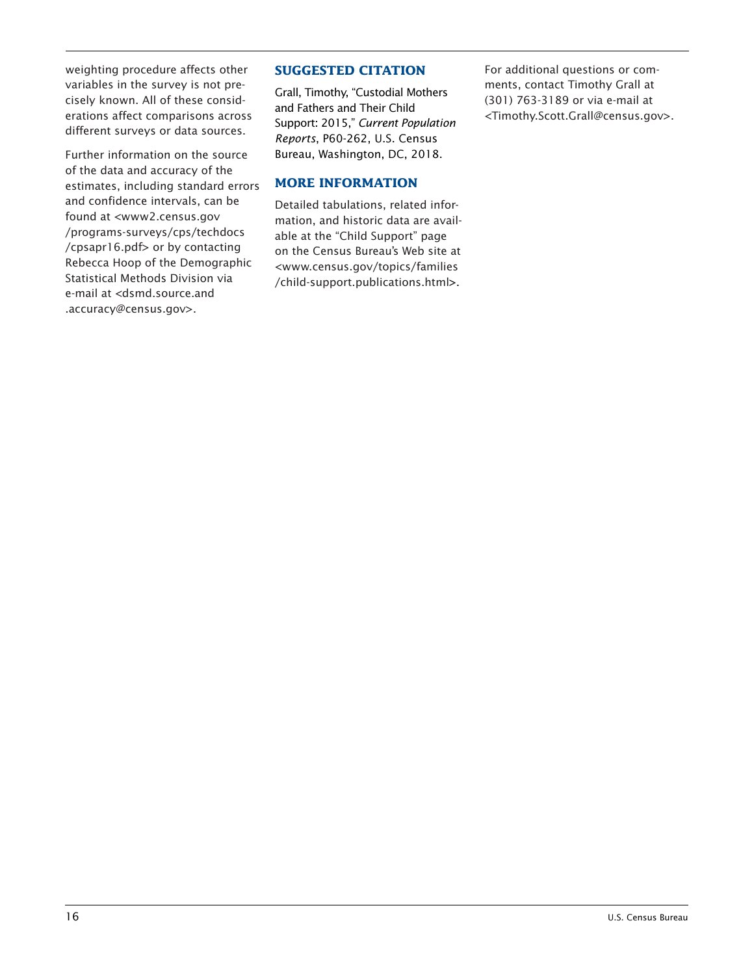weighting procedure affects other variables in the survey is not precisely known. All of these considerations affect comparisons across different surveys or data sources.

Further information on the source of the data and accuracy of the estimates, including standard errors and confidence intervals, can be found at <www2.census.gov /programs-surveys/cps/techdocs /cpsapr16.pdf> or by contacting Rebecca Hoop of the Demographic Statistical Methods Division via e-mail at <dsmd.source.and .accuracy@census.gov>.

#### **SUGGESTED CITATION**

Grall, Timothy, "Custodial Mothers and Fathers and Their Child Support: 2015," *Current Population Reports*, P60-262, U.S. Census Bureau, Washington, DC, 2018.

# **MORE INFORMATION**

Detailed tabulations, related information, and historic data are available at the "Child Support" page on the Census Bureau's Web site at <www.census.gov/topics/families /child-support.publications.html>.

For additional questions or comments, contact Timothy Grall at (301) 763-3189 or via e-mail at <Timothy.Scott.Grall@census.gov>.